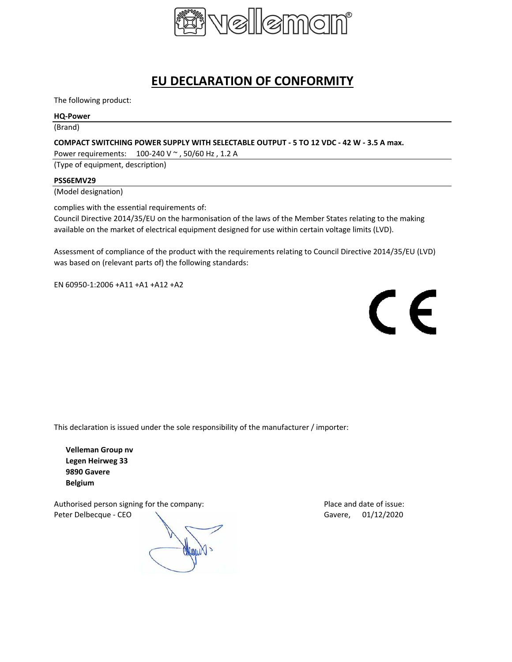

# **EU DECLARATION OF CONFORMITY**

The following product:

### **HQ-Power**

(Brand)

## **COMPACT SWITCHING POWER SUPPLY WITH SELECTABLE OUTPUT - 5 TO 12 VDC - 42 W - 3.5 A max.**

Power requirements: 100-240 V ~ , 50/60 Hz , 1.2 A

(Type of equipment, description)

### **PSS6EMV29**

(Model designation)

complies with the essential requirements of:

Council Directive 2014/35/EU on the harmonisation of the laws of the Member States relating to the making available on the market of electrical equipment designed for use within certain voltage limits (LVD).

Assessment of compliance of the product with the requirements relating to Council Directive 2014/35/EU (LVD) was based on (relevant parts of) the following standards:

EN 60950-1:2006 +A11 +A1 +A12 +A2



This declaration is issued under the sole responsibility of the manufacturer / importer:

**Velleman Group nv Legen Heirweg 33 9890 Gavere Belgium**

Authorised person signing for the company: Place and date of issue: Peter Delbecque - CEO  $\setminus$  Gavere, 01/12/2020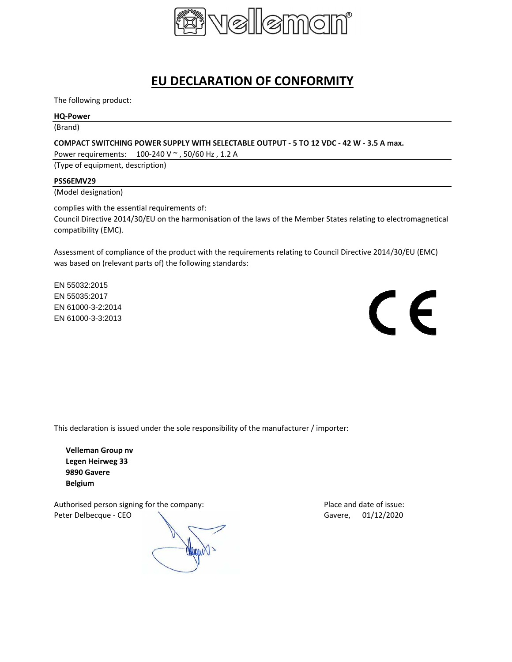

# **EU DECLARATION OF CONFORMITY**

The following product:

### **HQ-Power**

(Brand)

### **COMPACT SWITCHING POWER SUPPLY WITH SELECTABLE OUTPUT - 5 TO 12 VDC - 42 W - 3.5 A max.**

Power requirements: 100-240 V ~ , 50/60 Hz , 1.2 A

(Type of equipment, description)

### **PSS6EMV29**

(Model designation)

complies with the essential requirements of:

Council Directive 2014/30/EU on the harmonisation of the laws of the Member States relating to electromagnetical compatibility (EMC).

Assessment of compliance of the product with the requirements relating to Council Directive 2014/30/EU (EMC) was based on (relevant parts of) the following standards:

EN 55032:2015 EN 55035:2017 EN 61000-3-2:2014 EN 61000-3-3:2013



This declaration is issued under the sole responsibility of the manufacturer / importer:

**Velleman Group nv Legen Heirweg 33 9890 Gavere Belgium**

Authorised person signing for the company: Place and date of issue: Peter Delbecque - CEO CONTEXAS CONTEXAS CONTEXAS Gavere, 01/12/2020